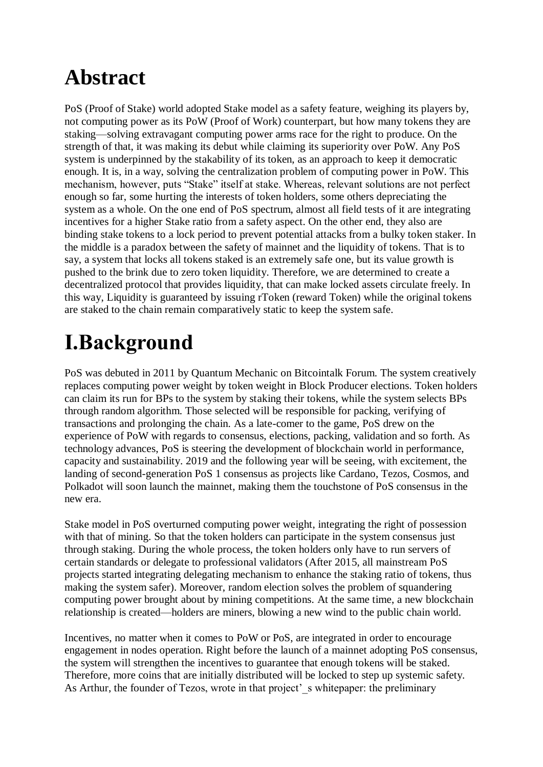# **Abstract**

PoS (Proof of Stake) world adopted Stake model as a safety feature, weighing its players by, not computing power as its PoW (Proof of Work) counterpart, but how many tokens they are staking—solving extravagant computing power arms race for the right to produce. On the strength of that, it was making its debut while claiming its superiority over PoW. Any PoS system is underpinned by the stakability of its token, as an approach to keep it democratic enough. It is, in a way, solving the centralization problem of computing power in PoW. This mechanism, however, puts "Stake" itself at stake. Whereas, relevant solutions are not perfect enough so far, some hurting the interests of token holders, some others depreciating the system as a whole. On the one end of PoS spectrum, almost all field tests of it are integrating incentives for a higher Stake ratio from a safety aspect. On the other end, they also are binding stake tokens to a lock period to prevent potential attacks from a bulky token staker. In the middle is a paradox between the safety of mainnet and the liquidity of tokens. That is to say, a system that locks all tokens staked is an extremely safe one, but its value growth is pushed to the brink due to zero token liquidity. Therefore, we are determined to create a decentralized protocol that provides liquidity, that can make locked assets circulate freely. In this way, Liquidity is guaranteed by issuing rToken (reward Token) while the original tokens are staked to the chain remain comparatively static to keep the system safe.

# **Ⅰ.Background**

PoS was debuted in 2011 by Quantum Mechanic on Bitcointalk Forum. The system creatively replaces computing power weight by token weight in Block Producer elections. Token holders can claim its run for BPs to the system by staking their tokens, while the system selects BPs through random algorithm. Those selected will be responsible for packing, verifying of transactions and prolonging the chain. As a late-comer to the game, PoS drew on the experience of PoW with regards to consensus, elections, packing, validation and so forth. As technology advances, PoS is steering the development of blockchain world in performance, capacity and sustainability. 2019 and the following year will be seeing, with excitement, the landing of second-generation PoS 1 consensus as projects like Cardano, Tezos, Cosmos, and Polkadot will soon launch the mainnet, making them the touchstone of PoS consensus in the new era.

Stake model in PoS overturned computing power weight, integrating the right of possession with that of mining. So that the token holders can participate in the system consensus just through staking. During the whole process, the token holders only have to run servers of certain standards or delegate to professional validators (After 2015, all mainstream PoS projects started integrating delegating mechanism to enhance the staking ratio of tokens, thus making the system safer). Moreover, random election solves the problem of squandering computing power brought about by mining competitions. At the same time, a new blockchain relationship is created—holders are miners, blowing a new wind to the public chain world.

Incentives, no matter when it comes to PoW or PoS, are integrated in order to encourage engagement in nodes operation. Right before the launch of a mainnet adopting PoS consensus, the system will strengthen the incentives to guarantee that enough tokens will be staked. Therefore, more coins that are initially distributed will be locked to step up systemic safety. As Arthur, the founder of Tezos, wrote in that project's whitepaper: the preliminary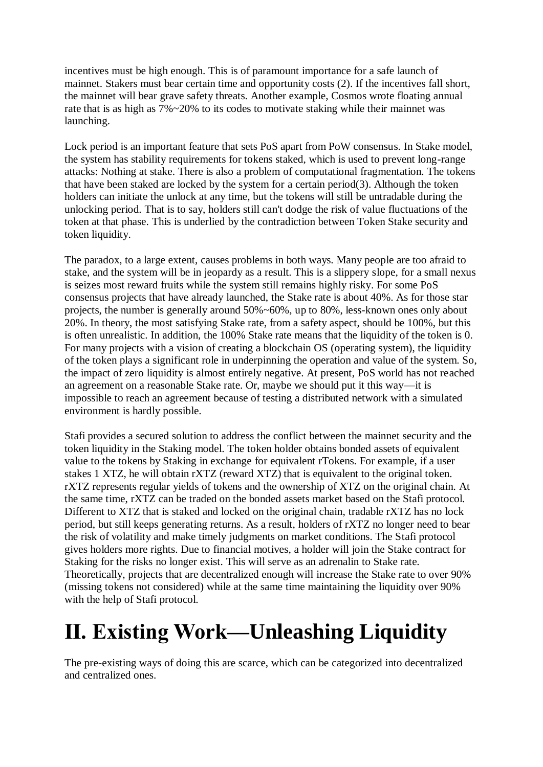incentives must be high enough. This is of paramount importance for a safe launch of mainnet. Stakers must bear certain time and opportunity costs (2). If the incentives fall short, the mainnet will bear grave safety threats. Another example, Cosmos wrote floating annual rate that is as high as 7%~20% to its codes to motivate staking while their mainnet was launching.

Lock period is an important feature that sets PoS apart from PoW consensus. In Stake model, the system has stability requirements for tokens staked, which is used to prevent long-range attacks: Nothing at stake. There is also a problem of computational fragmentation. The tokens that have been staked are locked by the system for a certain period(3). Although the token holders can initiate the unlock at any time, but the tokens will still be untradable during the unlocking period. That is to say, holders still can't dodge the risk of value fluctuations of the token at that phase. This is underlied by the contradiction between Token Stake security and token liquidity.

The paradox, to a large extent, causes problems in both ways. Many people are too afraid to stake, and the system will be in jeopardy as a result. This is a slippery slope, for a small nexus is seizes most reward fruits while the system still remains highly risky. For some PoS consensus projects that have already launched, the Stake rate is about 40%. As for those star projects, the number is generally around 50%~60%, up to 80%, less-known ones only about 20%. In theory, the most satisfying Stake rate, from a safety aspect, should be 100%, but this is often unrealistic. In addition, the 100% Stake rate means that the liquidity of the token is 0. For many projects with a vision of creating a blockchain OS (operating system), the liquidity of the token plays a significant role in underpinning the operation and value of the system. So, the impact of zero liquidity is almost entirely negative. At present, PoS world has not reached an agreement on a reasonable Stake rate. Or, maybe we should put it this way—it is impossible to reach an agreement because of testing a distributed network with a simulated environment is hardly possible.

Stafi provides a secured solution to address the conflict between the mainnet security and the token liquidity in the Staking model. The token holder obtains bonded assets of equivalent value to the tokens by Staking in exchange for equivalent rTokens. For example, if a user stakes 1 XTZ, he will obtain rXTZ (reward XTZ) that is equivalent to the original token. rXTZ represents regular yields of tokens and the ownership of XTZ on the original chain. At the same time, rXTZ can be traded on the bonded assets market based on the Stafi protocol. Different to XTZ that is staked and locked on the original chain, tradable rXTZ has no lock period, but still keeps generating returns. As a result, holders of rXTZ no longer need to bear the risk of volatility and make timely judgments on market conditions. The Stafi protocol gives holders more rights. Due to financial motives, a holder will join the Stake contract for Staking for the risks no longer exist. This will serve as an adrenalin to Stake rate. Theoretically, projects that are decentralized enough will increase the Stake rate to over 90% (missing tokens not considered) while at the same time maintaining the liquidity over 90% with the help of Stafi protocol.

# **Ⅱ. Existing Work—Unleashing Liquidity**

The pre-existing ways of doing this are scarce, which can be categorized into decentralized and centralized ones.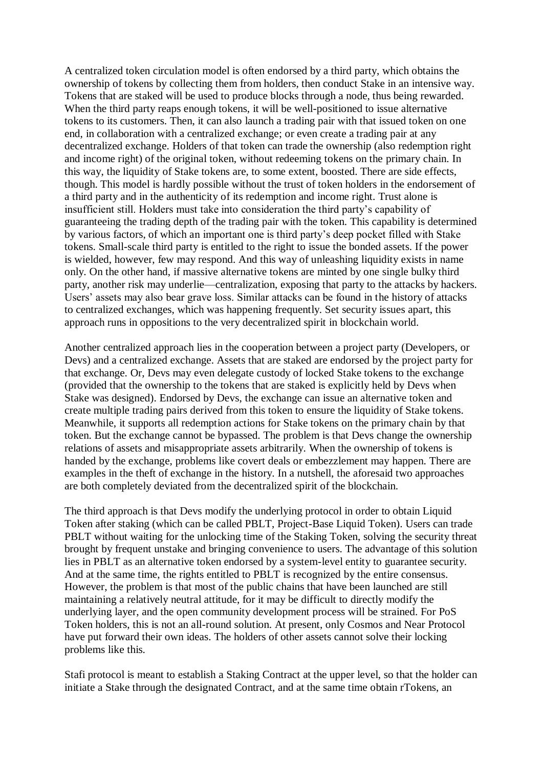A centralized token circulation model is often endorsed by a third party, which obtains the ownership of tokens by collecting them from holders, then conduct Stake in an intensive way. Tokens that are staked will be used to produce blocks through a node, thus being rewarded. When the third party reaps enough tokens, it will be well-positioned to issue alternative tokens to its customers. Then, it can also launch a trading pair with that issued token on one end, in collaboration with a centralized exchange; or even create a trading pair at any decentralized exchange. Holders of that token can trade the ownership (also redemption right and income right) of the original token, without redeeming tokens on the primary chain. In this way, the liquidity of Stake tokens are, to some extent, boosted. There are side effects, though. This model is hardly possible without the trust of token holders in the endorsement of a third party and in the authenticity of its redemption and income right. Trust alone is insufficient still. Holders must take into consideration the third party's capability of guaranteeing the trading depth of the trading pair with the token. This capability is determined by various factors, of which an important one is third party's deep pocket filled with Stake tokens. Small-scale third party is entitled to the right to issue the bonded assets. If the power is wielded, however, few may respond. And this way of unleashing liquidity exists in name only. On the other hand, if massive alternative tokens are minted by one single bulky third party, another risk may underlie—centralization, exposing that party to the attacks by hackers. Users' assets may also bear grave loss. Similar attacks can be found in the history of attacks to centralized exchanges, which was happening frequently. Set security issues apart, this approach runs in oppositions to the very decentralized spirit in blockchain world.

Another centralized approach lies in the cooperation between a project party (Developers, or Devs) and a centralized exchange. Assets that are staked are endorsed by the project party for that exchange. Or, Devs may even delegate custody of locked Stake tokens to the exchange (provided that the ownership to the tokens that are staked is explicitly held by Devs when Stake was designed). Endorsed by Devs, the exchange can issue an alternative token and create multiple trading pairs derived from this token to ensure the liquidity of Stake tokens. Meanwhile, it supports all redemption actions for Stake tokens on the primary chain by that token. But the exchange cannot be bypassed. The problem is that Devs change the ownership relations of assets and misappropriate assets arbitrarily. When the ownership of tokens is handed by the exchange, problems like covert deals or embezzlement may happen. There are examples in the theft of exchange in the history. In a nutshell, the aforesaid two approaches are both completely deviated from the decentralized spirit of the blockchain.

The third approach is that Devs modify the underlying protocol in order to obtain Liquid Token after staking (which can be called PBLT, Project-Base Liquid Token). Users can trade PBLT without waiting for the unlocking time of the Staking Token, solving the security threat brought by frequent unstake and bringing convenience to users. The advantage of this solution lies in PBLT as an alternative token endorsed by a system-level entity to guarantee security. And at the same time, the rights entitled to PBLT is recognized by the entire consensus. However, the problem is that most of the public chains that have been launched are still maintaining a relatively neutral attitude, for it may be difficult to directly modify the underlying layer, and the open community development process will be strained. For PoS Token holders, this is not an all-round solution. At present, only Cosmos and Near Protocol have put forward their own ideas. The holders of other assets cannot solve their locking problems like this.

Stafi protocol is meant to establish a Staking Contract at the upper level, so that the holder can initiate a Stake through the designated Contract, and at the same time obtain rTokens, an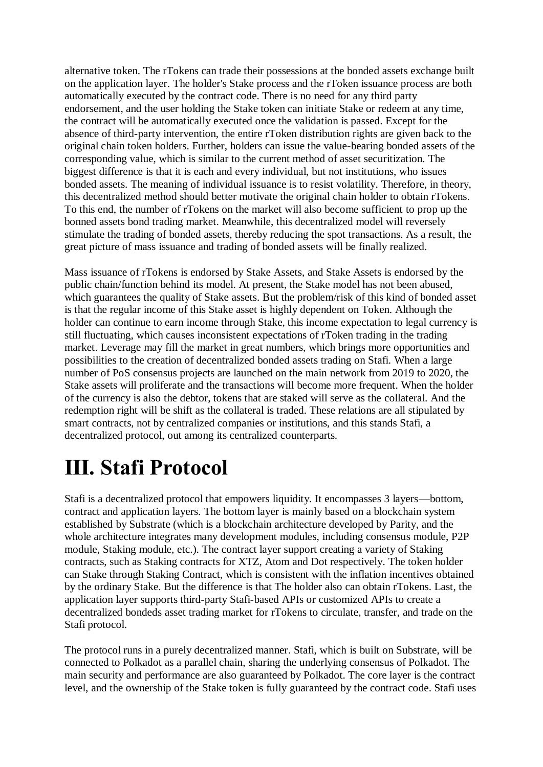alternative token. The rTokens can trade their possessions at the bonded assets exchange built on the application layer. The holder's Stake process and the rToken issuance process are both automatically executed by the contract code. There is no need for any third party endorsement, and the user holding the Stake token can initiate Stake or redeem at any time, the contract will be automatically executed once the validation is passed. Except for the absence of third-party intervention, the entire rToken distribution rights are given back to the original chain token holders. Further, holders can issue the value-bearing bonded assets of the corresponding value, which is similar to the current method of asset securitization. The biggest difference is that it is each and every individual, but not institutions, who issues bonded assets. The meaning of individual issuance is to resist volatility. Therefore, in theory, this decentralized method should better motivate the original chain holder to obtain rTokens. To this end, the number of rTokens on the market will also become sufficient to prop up the bonned assets bond trading market. Meanwhile, this decentralized model will reversely stimulate the trading of bonded assets, thereby reducing the spot transactions. As a result, the great picture of mass issuance and trading of bonded assets will be finally realized.

Mass issuance of rTokens is endorsed by Stake Assets, and Stake Assets is endorsed by the public chain/function behind its model. At present, the Stake model has not been abused, which guarantees the quality of Stake assets. But the problem/risk of this kind of bonded asset is that the regular income of this Stake asset is highly dependent on Token. Although the holder can continue to earn income through Stake, this income expectation to legal currency is still fluctuating, which causes inconsistent expectations of rToken trading in the trading market. Leverage may fill the market in great numbers, which brings more opportunities and possibilities to the creation of decentralized bonded assets trading on Stafi. When a large number of PoS consensus projects are launched on the main network from 2019 to 2020, the Stake assets will proliferate and the transactions will become more frequent. When the holder of the currency is also the debtor, tokens that are staked will serve as the collateral. And the redemption right will be shift as the collateral is traded. These relations are all stipulated by smart contracts, not by centralized companies or institutions, and this stands Stafi, a decentralized protocol, out among its centralized counterparts.

# **Ⅲ. Stafi Protocol**

Stafi is a decentralized protocol that empowers liquidity. It encompasses 3 layers—bottom, contract and application layers. The bottom layer is mainly based on a blockchain system established by Substrate (which is a blockchain architecture developed by Parity, and the whole architecture integrates many development modules, including consensus module, P2P module, Staking module, etc.). The contract layer support creating a variety of Staking contracts, such as Staking contracts for XTZ, Atom and Dot respectively. The token holder can Stake through Staking Contract, which is consistent with the inflation incentives obtained by the ordinary Stake. But the difference is that The holder also can obtain rTokens. Last, the application layer supports third-party Stafi-based APIs or customized APIs to create a decentralized bondeds asset trading market for rTokens to circulate, transfer, and trade on the Stafi protocol.

The protocol runs in a purely decentralized manner. Stafi, which is built on Substrate, will be connected to Polkadot as a parallel chain, sharing the underlying consensus of Polkadot. The main security and performance are also guaranteed by Polkadot. The core layer is the contract level, and the ownership of the Stake token is fully guaranteed by the contract code. Stafi uses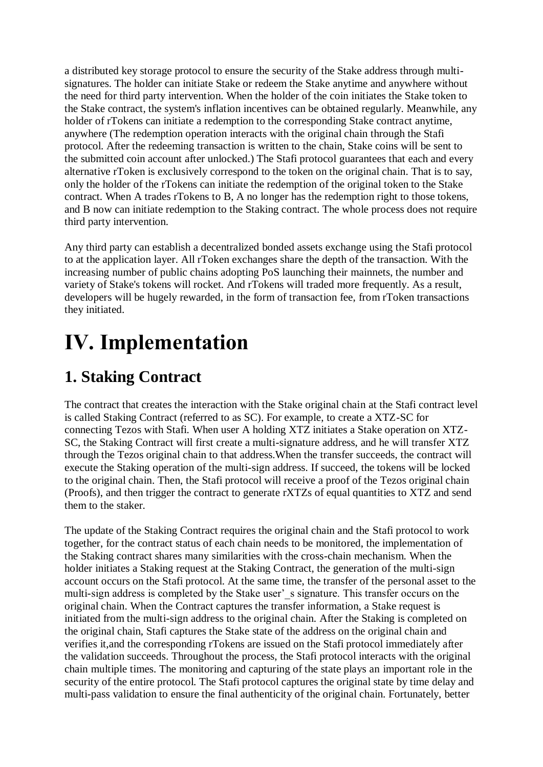a distributed key storage protocol to ensure the security of the Stake address through multisignatures. The holder can initiate Stake or redeem the Stake anytime and anywhere without the need for third party intervention. When the holder of the coin initiates the Stake token to the Stake contract, the system's inflation incentives can be obtained regularly. Meanwhile, any holder of rTokens can initiate a redemption to the corresponding Stake contract anytime, anywhere (The redemption operation interacts with the original chain through the Stafi protocol. After the redeeming transaction is written to the chain, Stake coins will be sent to the submitted coin account after unlocked.) The Stafi protocol guarantees that each and every alternative rToken is exclusively correspond to the token on the original chain. That is to say, only the holder of the rTokens can initiate the redemption of the original token to the Stake contract. When A trades rTokens to B, A no longer has the redemption right to those tokens, and B now can initiate redemption to the Staking contract. The whole process does not require third party intervention.

Any third party can establish a decentralized bonded assets exchange using the Stafi protocol to at the application layer. All rToken exchanges share the depth of the transaction. With the increasing number of public chains adopting PoS launching their mainnets, the number and variety of Stake's tokens will rocket. And rTokens will traded more frequently. As a result, developers will be hugely rewarded, in the form of transaction fee, from rToken transactions they initiated.

# **Ⅳ. Implementation**

### **1. Staking Contract**

The contract that creates the interaction with the Stake original chain at the Stafi contract level is called Staking Contract (referred to as SC). For example, to create a XTZ-SC for connecting Tezos with Stafi. When user A holding XTZ initiates a Stake operation on XTZ-SC, the Staking Contract will first create a multi-signature address, and he will transfer XTZ through the Tezos original chain to that address.When the transfer succeeds, the contract will execute the Staking operation of the multi-sign address. If succeed, the tokens will be locked to the original chain. Then, the Stafi protocol will receive a proof of the Tezos original chain (Proofs), and then trigger the contract to generate rXTZs of equal quantities to XTZ and send them to the staker.

The update of the Staking Contract requires the original chain and the Stafi protocol to work together, for the contract status of each chain needs to be monitored, the implementation of the Staking contract shares many similarities with the cross-chain mechanism. When the holder initiates a Staking request at the Staking Contract, the generation of the multi-sign account occurs on the Stafi protocol. At the same time, the transfer of the personal asset to the multi-sign address is completed by the Stake user's signature. This transfer occurs on the original chain. When the Contract captures the transfer information, a Stake request is initiated from the multi-sign address to the original chain. After the Staking is completed on the original chain, Stafi captures the Stake state of the address on the original chain and verifies it,and the corresponding rTokens are issued on the Stafi protocol immediately after the validation succeeds. Throughout the process, the Stafi protocol interacts with the original chain multiple times. The monitoring and capturing of the state plays an important role in the security of the entire protocol. The Stafi protocol captures the original state by time delay and multi-pass validation to ensure the final authenticity of the original chain. Fortunately, better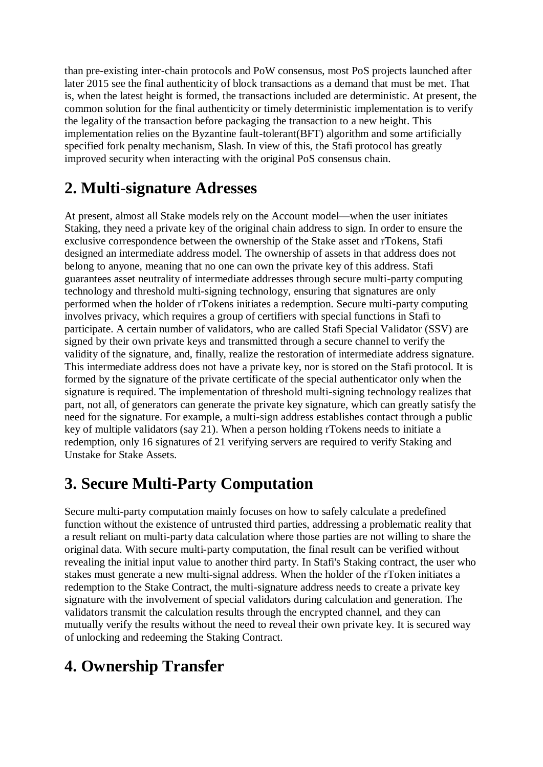than pre-existing inter-chain protocols and PoW consensus, most PoS projects launched after later 2015 see the final authenticity of block transactions as a demand that must be met. That is, when the latest height is formed, the transactions included are deterministic. At present, the common solution for the final authenticity or timely deterministic implementation is to verify the legality of the transaction before packaging the transaction to a new height. This implementation relies on the Byzantine fault-tolerant(BFT) algorithm and some artificially specified fork penalty mechanism, Slash. In view of this, the Stafi protocol has greatly improved security when interacting with the original PoS consensus chain.

## **2. Multi-signature Adresses**

At present, almost all Stake models rely on the Account model—when the user initiates Staking, they need a private key of the original chain address to sign. In order to ensure the exclusive correspondence between the ownership of the Stake asset and rTokens, Stafi designed an intermediate address model. The ownership of assets in that address does not belong to anyone, meaning that no one can own the private key of this address. Stafi guarantees asset neutrality of intermediate addresses through secure multi-party computing technology and threshold multi-signing technology, ensuring that signatures are only performed when the holder of rTokens initiates a redemption. Secure multi-party computing involves privacy, which requires a group of certifiers with special functions in Stafi to participate. A certain number of validators, who are called Stafi Special Validator (SSV) are signed by their own private keys and transmitted through a secure channel to verify the validity of the signature, and, finally, realize the restoration of intermediate address signature. This intermediate address does not have a private key, nor is stored on the Stafi protocol. It is formed by the signature of the private certificate of the special authenticator only when the signature is required. The implementation of threshold multi-signing technology realizes that part, not all, of generators can generate the private key signature, which can greatly satisfy the need for the signature. For example, a multi-sign address establishes contact through a public key of multiple validators (say 21). When a person holding rTokens needs to initiate a redemption, only 16 signatures of 21 verifying servers are required to verify Staking and Unstake for Stake Assets.

### **3. Secure Multi-Party Computation**

Secure multi-party computation mainly focuses on how to safely calculate a predefined function without the existence of untrusted third parties, addressing a problematic reality that a result reliant on multi-party data calculation where those parties are not willing to share the original data. With secure multi-party computation, the final result can be verified without revealing the initial input value to another third party. In Stafi's Staking contract, the user who stakes must generate a new multi-signal address. When the holder of the rToken initiates a redemption to the Stake Contract, the multi-signature address needs to create a private key signature with the involvement of special validators during calculation and generation. The validators transmit the calculation results through the encrypted channel, and they can mutually verify the results without the need to reveal their own private key. It is secured way of unlocking and redeeming the Staking Contract.

## **4. Ownership Transfer**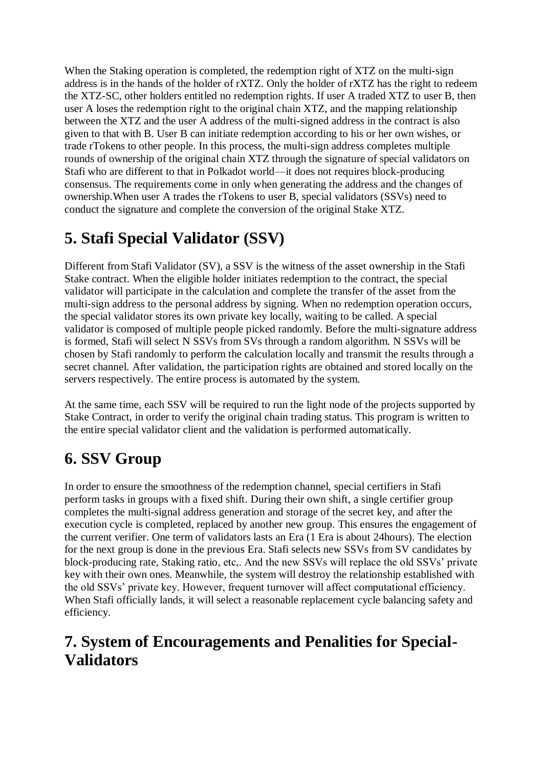When the Staking operation is completed, the redemption right of XTZ on the multi-sign address is in the hands of the holder of rXTZ. Only the holder of rXTZ has the right to redeem the XTZ-SC, other holders entitled no redemption rights. If user A traded XTZ to user B, then user A loses the redemption right to the original chain XTZ, and the mapping relationship between the XTZ and the user A address of the multi-signed address in the contract is also given to that with B. User B can initiate redemption according to his or her own wishes, or trade rTokens to other people. In this process, the multi-sign address completes multiple rounds of ownership of the original chain XTZ through the signature of special validators on Stafi who are different to that in Polkadot world—it does not requires block-producing consensus. The requirements come in only when generating the address and the changes of ownership.When user A trades the rTokens to user B, special validators (SSVs) need to conduct the signature and complete the conversion of the original Stake XTZ.

## **5. Stafi Special Validator (SSV)**

Different from Stafi Validator (SV), a SSV is the witness of the asset ownership in the Stafi Stake contract. When the eligible holder initiates redemption to the contract, the special validator will participate in the calculation and complete the transfer of the asset from the multi-sign address to the personal address by signing. When no redemption operation occurs, the special validator stores its own private key locally, waiting to be called. A special validator is composed of multiple people picked randomly. Before the multi-signature address is formed, Stafi will select N SSVs from SVs through a random algorithm. N SSVs will be chosen by Stafi randomly to perform the calculation locally and transmit the results through a secret channel. After validation, the participation rights are obtained and stored locally on the servers respectively. The entire process is automated by the system.

At the same time, each SSV will be required to run the light node of the projects supported by Stake Contract, in order to verify the original chain trading status. This program is written to the entire special validator client and the validation is performed automatically.

## **6. SSV Group**

In order to ensure the smoothness of the redemption channel, special certifiers in Stafi perform tasks in groups with a fixed shift. During their own shift, a single certifier group completes the multi-signal address generation and storage of the secret key, and after the execution cycle is completed, replaced by another new group. This ensures the engagement of the current verifier. One term of validators lasts an Era (1 Era is about 24hours). The election for the next group is done in the previous Era. Stafi selects new SSVs from SV candidates by block-producing rate, Staking ratio, etc,. And the new SSVs will replace the old SSVs' private key with their own ones. Meanwhile, the system will destroy the relationship established with the old SSVs' private key. However, frequent turnover will affect computational efficiency. When Stafi officially lands, it will select a reasonable replacement cycle balancing safety and efficiency.

#### **7. System of Encouragements and Penalities for Special-Validators**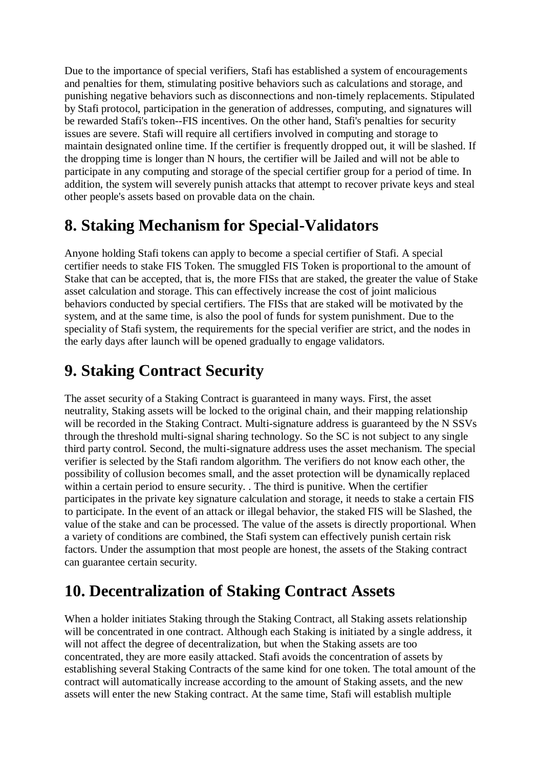Due to the importance of special verifiers, Stafi has established a system of encouragements and penalties for them, stimulating positive behaviors such as calculations and storage, and punishing negative behaviors such as disconnections and non-timely replacements. Stipulated by Stafi protocol, participation in the generation of addresses, computing, and signatures will be rewarded Stafi's token--FIS incentives. On the other hand, Stafi's penalties for security issues are severe. Stafi will require all certifiers involved in computing and storage to maintain designated online time. If the certifier is frequently dropped out, it will be slashed. If the dropping time is longer than N hours, the certifier will be Jailed and will not be able to participate in any computing and storage of the special certifier group for a period of time. In addition, the system will severely punish attacks that attempt to recover private keys and steal other people's assets based on provable data on the chain.

#### **8. Staking Mechanism for Special-Validators**

Anyone holding Stafi tokens can apply to become a special certifier of Stafi. A special certifier needs to stake FIS Token. The smuggled FIS Token is proportional to the amount of Stake that can be accepted, that is, the more FISs that are staked, the greater the value of Stake asset calculation and storage. This can effectively increase the cost of joint malicious behaviors conducted by special certifiers. The FISs that are staked will be motivated by the system, and at the same time, is also the pool of funds for system punishment. Due to the speciality of Stafi system, the requirements for the special verifier are strict, and the nodes in the early days after launch will be opened gradually to engage validators.

### **9. Staking Contract Security**

The asset security of a Staking Contract is guaranteed in many ways. First, the asset neutrality, Staking assets will be locked to the original chain, and their mapping relationship will be recorded in the Staking Contract. Multi-signature address is guaranteed by the N SSVs through the threshold multi-signal sharing technology. So the SC is not subject to any single third party control. Second, the multi-signature address uses the asset mechanism. The special verifier is selected by the Stafi random algorithm. The verifiers do not know each other, the possibility of collusion becomes small, and the asset protection will be dynamically replaced within a certain period to ensure security. . The third is punitive. When the certifier participates in the private key signature calculation and storage, it needs to stake a certain FIS to participate. In the event of an attack or illegal behavior, the staked FIS will be Slashed, the value of the stake and can be processed. The value of the assets is directly proportional. When a variety of conditions are combined, the Stafi system can effectively punish certain risk factors. Under the assumption that most people are honest, the assets of the Staking contract can guarantee certain security.

### **10. Decentralization of Staking Contract Assets**

When a holder initiates Staking through the Staking Contract, all Staking assets relationship will be concentrated in one contract. Although each Staking is initiated by a single address, it will not affect the degree of decentralization, but when the Staking assets are too concentrated, they are more easily attacked. Stafi avoids the concentration of assets by establishing several Staking Contracts of the same kind for one token. The total amount of the contract will automatically increase according to the amount of Staking assets, and the new assets will enter the new Staking contract. At the same time, Stafi will establish multiple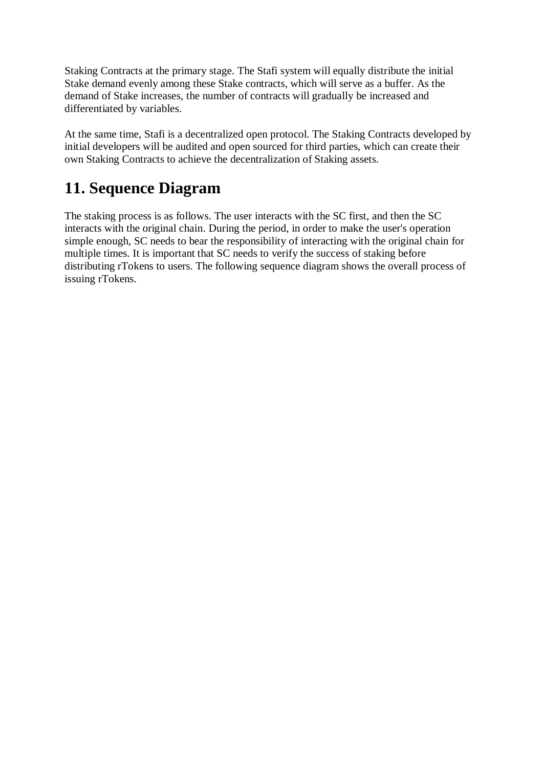Staking Contracts at the primary stage. The Stafi system will equally distribute the initial Stake demand evenly among these Stake contracts, which will serve as a buffer. As the demand of Stake increases, the number of contracts will gradually be increased and differentiated by variables.

At the same time, Stafi is a decentralized open protocol. The Staking Contracts developed by initial developers will be audited and open sourced for third parties, which can create their own Staking Contracts to achieve the decentralization of Staking assets.

## **11. Sequence Diagram**

The staking process is as follows. The user interacts with the SC first, and then the SC interacts with the original chain. During the period, in order to make the user's operation simple enough, SC needs to bear the responsibility of interacting with the original chain for multiple times. It is important that SC needs to verify the success of staking before distributing rTokens to users. The following sequence diagram shows the overall process of issuing rTokens.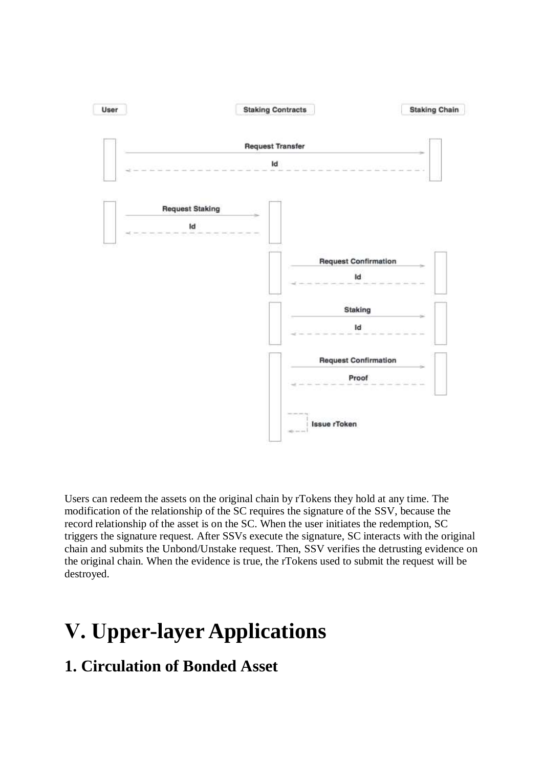

Users can redeem the assets on the original chain by rTokens they hold at any time. The modification of the relationship of the SC requires the signature of the SSV, because the record relationship of the asset is on the SC. When the user initiates the redemption, SC triggers the signature request. After SSVs execute the signature, SC interacts with the original chain and submits the Unbond/Unstake request. Then, SSV verifies the detrusting evidence on the original chain. When the evidence is true, the rTokens used to submit the request will be destroyed.

# **Ⅴ. Upper-layer Applications**

#### **1. Circulation of Bonded Asset**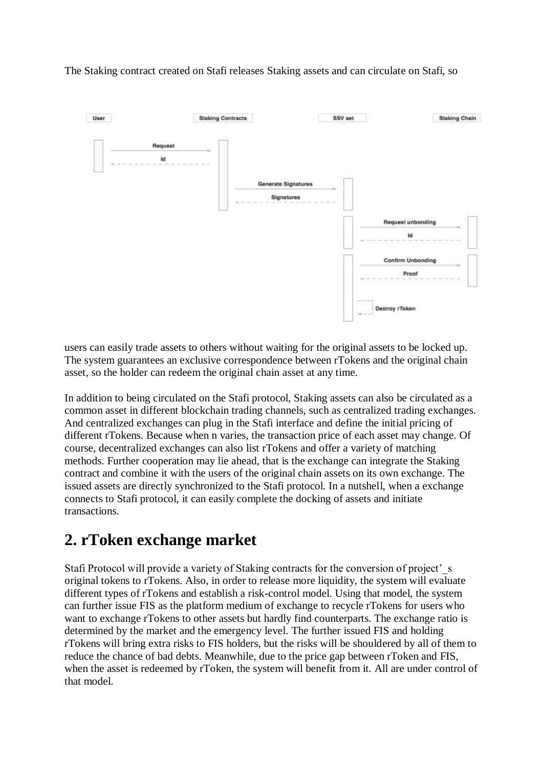The Staking contract created on Stafi releases Staking assets and can circulate on Stafi, so



users can easily trade assets to others without waiting for the original assets to be locked up. The system guarantees an exclusive correspondence between rTokens and the original chain asset, so the holder can redeem the original chain asset at any time.

In addition to being circulated on the Stafi protocol, Staking assets can also be circulated as a common asset in different blockchain trading channels, such as centralized trading exchanges. And centralized exchanges can plug in the Stafi interface and define the initial pricing of different rTokens. Because when n varies, the transaction price of each asset may change. Of course, decentralized exchanges can also list rTokens and offer a variety of matching methods. Further cooperation may lie ahead, that is the exchange can integrate the Staking contract and combine it with the users of the original chain assets on its own exchange. The issued assets are directly synchronized to the Stafi protocol. In a nutshell, when a exchange connects to Stafi protocol, it can easily complete the docking of assets and initiate transactions.

#### **2. rToken exchange market**

Stafi Protocol will provide a variety of Staking contracts for the conversion of project's original tokens to rTokens. Also, in order to release more liquidity, the system will evaluate different types of rTokens and establish a risk-control model. Using that model, the system can further issue FIS as the platform medium of exchange to recycle rTokens for users who want to exchange rTokens to other assets but hardly find counterparts. The exchange ratio is determined by the market and the emergency level. The further issued FIS and holding rTokens will bring extra risks to FIS holders, but the risks will be shouldered by all of them to reduce the chance of bad debts. Meanwhile, due to the price gap between rToken and FIS, when the asset is redeemed by rToken, the system will benefit from it. All are under control of that model.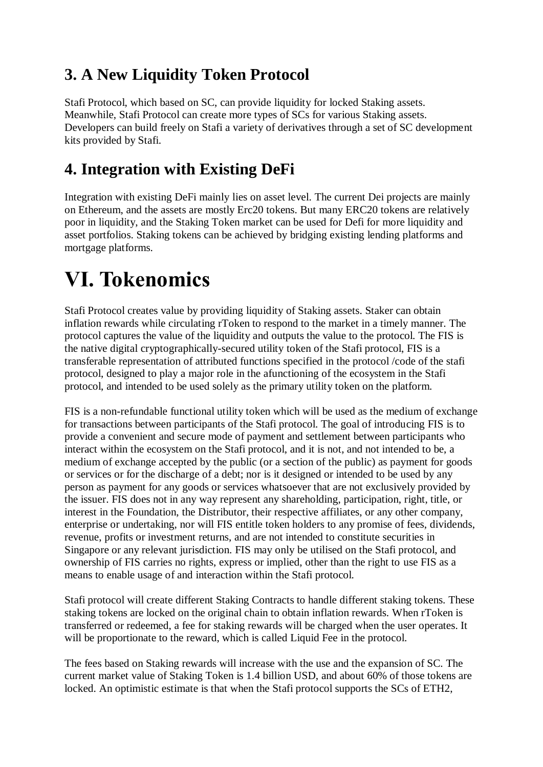#### **3. A New Liquidity Token Protocol**

Stafi Protocol, which based on SC, can provide liquidity for locked Staking assets. Meanwhile, Stafi Protocol can create more types of SCs for various Staking assets. Developers can build freely on Stafi a variety of derivatives through a set of SC development kits provided by Stafi.

#### **4. Integration with Existing DeFi**

Integration with existing DeFi mainly lies on asset level. The current Dei projects are mainly on Ethereum, and the assets are mostly Erc20 tokens. But many ERC20 tokens are relatively poor in liquidity, and the Staking Token market can be used for Defi for more liquidity and asset portfolios. Staking tokens can be achieved by bridging existing lending platforms and mortgage platforms.

## **Ⅵ. Tokenomics**

Stafi Protocol creates value by providing liquidity of Staking assets. Staker can obtain inflation rewards while circulating rToken to respond to the market in a timely manner. The protocol captures the value of the liquidity and outputs the value to the protocol. The FIS is the native digital cryptographically-secured utility token of the Stafi protocol, FIS is a transferable representation of attributed functions specified in the protocol /code of the stafi protocol, designed to play a major role in the afunctioning of the ecosystem in the Stafi protocol, and intended to be used solely as the primary utility token on the platform.

FIS is a non-refundable functional utility token which will be used as the medium of exchange for transactions between participants of the Stafi protocol. The goal of introducing FIS is to provide a convenient and secure mode of payment and settlement between participants who interact within the ecosystem on the Stafi protocol, and it is not, and not intended to be, a medium of exchange accepted by the public (or a section of the public) as payment for goods or services or for the discharge of a debt; nor is it designed or intended to be used by any person as payment for any goods or services whatsoever that are not exclusively provided by the issuer. FIS does not in any way represent any shareholding, participation, right, title, or interest in the Foundation, the Distributor, their respective affiliates, or any other company, enterprise or undertaking, nor will FIS entitle token holders to any promise of fees, dividends, revenue, profits or investment returns, and are not intended to constitute securities in Singapore or any relevant jurisdiction. FIS may only be utilised on the Stafi protocol, and ownership of FIS carries no rights, express or implied, other than the right to use FIS as a means to enable usage of and interaction within the Stafi protocol.

Stafi protocol will create different Staking Contracts to handle different staking tokens. These staking tokens are locked on the original chain to obtain inflation rewards. When rToken is transferred or redeemed, a fee for staking rewards will be charged when the user operates. It will be proportionate to the reward, which is called Liquid Fee in the protocol.

The fees based on Staking rewards will increase with the use and the expansion of SC. The current market value of Staking Token is 1.4 billion USD, and about 60% of those tokens are locked. An optimistic estimate is that when the Stafi protocol supports the SCs of ETH2,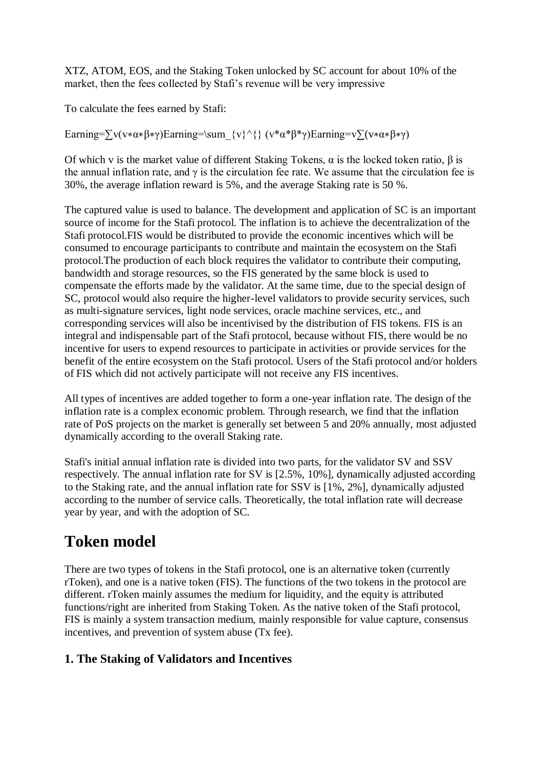XTZ, ATOM, EOS, and the Staking Token unlocked by SC account for about 10% of the market, then the fees collected by Stafi's revenue will be very impressive

To calculate the fees earned by Stafi:

Earning= $\sum v(v*a*\beta*y)$ Earning=\sum {v}^{} (v\*α\*β\*γ)Earning=v $\sum (v*a*\beta*y)$ 

Of which v is the market value of different Staking Tokens,  $\alpha$  is the locked token ratio,  $\beta$  is the annual inflation rate, and  $\gamma$  is the circulation fee rate. We assume that the circulation fee is 30%, the average inflation reward is 5%, and the average Staking rate is 50 %.

The captured value is used to balance. The development and application of SC is an important source of income for the Stafi protocol. The inflation is to achieve the decentralization of the Stafi protocol.FIS would be distributed to provide the economic incentives which will be consumed to encourage participants to contribute and maintain the ecosystem on the Stafi protocol.The production of each block requires the validator to contribute their computing, bandwidth and storage resources, so the FIS generated by the same block is used to compensate the efforts made by the validator. At the same time, due to the special design of SC, protocol would also require the higher-level validators to provide security services, such as multi-signature services, light node services, oracle machine services, etc., and corresponding services will also be incentivised by the distribution of FIS tokens. FIS is an integral and indispensable part of the Stafi protocol, because without FIS, there would be no incentive for users to expend resources to participate in activities or provide services for the benefit of the entire ecosystem on the Stafi protocol. Users of the Stafi protocol and/or holders of FIS which did not actively participate will not receive any FIS incentives.

All types of incentives are added together to form a one-year inflation rate. The design of the inflation rate is a complex economic problem. Through research, we find that the inflation rate of PoS projects on the market is generally set between 5 and 20% annually, most adjusted dynamically according to the overall Staking rate.

Stafi's initial annual inflation rate is divided into two parts, for the validator SV and SSV respectively. The annual inflation rate for SV is [2.5%, 10%], dynamically adjusted according to the Staking rate, and the annual inflation rate for SSV is [1%, 2%], dynamically adjusted according to the number of service calls. Theoretically, the total inflation rate will decrease year by year, and with the adoption of SC.

### **Token model**

There are two types of tokens in the Stafi protocol, one is an alternative token (currently rToken), and one is a native token (FIS). The functions of the two tokens in the protocol are different. rToken mainly assumes the medium for liquidity, and the equity is attributed functions/right are inherited from Staking Token. As the native token of the Stafi protocol, FIS is mainly a system transaction medium, mainly responsible for value capture, consensus incentives, and prevention of system abuse (Tx fee).

#### **1. The Staking of Validators and Incentives**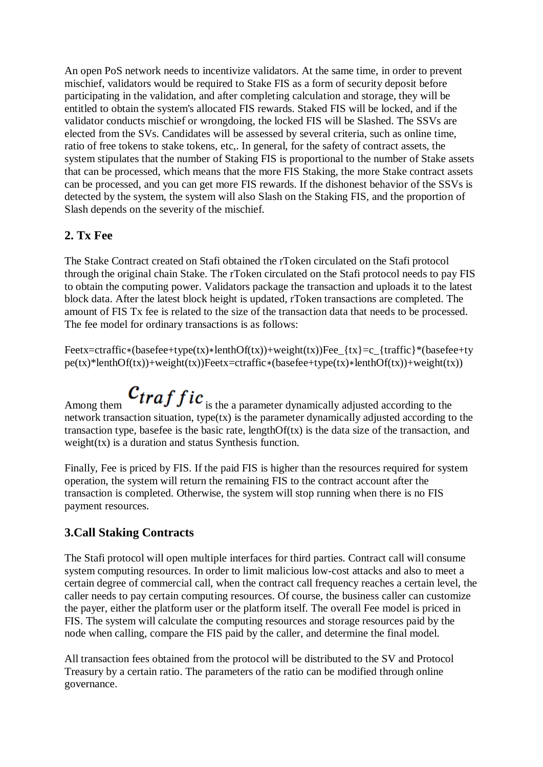An open PoS network needs to incentivize validators. At the same time, in order to prevent mischief, validators would be required to Stake FIS as a form of security deposit before participating in the validation, and after completing calculation and storage, they will be entitled to obtain the system's allocated FIS rewards. Staked FIS will be locked, and if the validator conducts mischief or wrongdoing, the locked FIS will be Slashed. The SSVs are elected from the SVs. Candidates will be assessed by several criteria, such as online time, ratio of free tokens to stake tokens, etc,. In general, for the safety of contract assets, the system stipulates that the number of Staking FIS is proportional to the number of Stake assets that can be processed, which means that the more FIS Staking, the more Stake contract assets can be processed, and you can get more FIS rewards. If the dishonest behavior of the SSVs is detected by the system, the system will also Slash on the Staking FIS, and the proportion of Slash depends on the severity of the mischief.

#### **2. Tx Fee**

The Stake Contract created on Stafi obtained the rToken circulated on the Stafi protocol through the original chain Stake. The rToken circulated on the Stafi protocol needs to pay FIS to obtain the computing power. Validators package the transaction and uploads it to the latest block data. After the latest block height is updated, rToken transactions are completed. The amount of FIS Tx fee is related to the size of the transaction data that needs to be processed. The fee model for ordinary transactions is as follows:

Feetx=ctraffic∗(basefee+type(tx)∗lenthOf(tx))+weight(tx))Fee\_{tx}=c\_{traffic}\*(basefee+ty pe(tx)\*lenthOf(tx))+weight(tx))Feetx=ctraffic∗(basefee+type(tx)∗lenthOf(tx))+weight(tx))

Among them  $\boldsymbol{c}_{traffic}$  is the a parameter dynamically adjusted according to the network transaction situation, type(tx) is the parameter dynamically adjusted according to the transaction type, basefee is the basic rate, length $Of(tx)$  is the data size of the transaction, and weight(tx) is a duration and status Synthesis function.

Finally, Fee is priced by FIS. If the paid FIS is higher than the resources required for system operation, the system will return the remaining FIS to the contract account after the transaction is completed. Otherwise, the system will stop running when there is no FIS payment resources.

#### **3.Call Staking Contracts**

The Stafi protocol will open multiple interfaces for third parties. Contract call will consume system computing resources. In order to limit malicious low-cost attacks and also to meet a certain degree of commercial call, when the contract call frequency reaches a certain level, the caller needs to pay certain computing resources. Of course, the business caller can customize the payer, either the platform user or the platform itself. The overall Fee model is priced in FIS. The system will calculate the computing resources and storage resources paid by the node when calling, compare the FIS paid by the caller, and determine the final model.

All transaction fees obtained from the protocol will be distributed to the SV and Protocol Treasury by a certain ratio. The parameters of the ratio can be modified through online governance.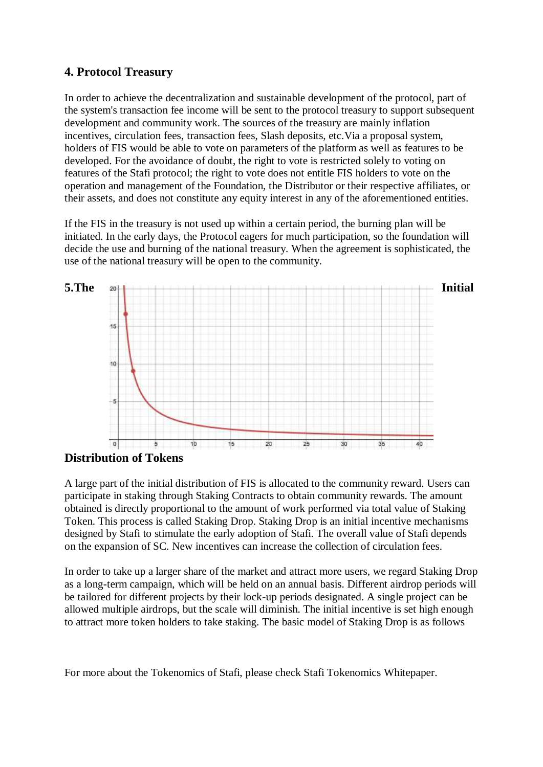#### **4. Protocol Treasury**

In order to achieve the decentralization and sustainable development of the protocol, part of the system's transaction fee income will be sent to the protocol treasury to support subsequent development and community work. The sources of the treasury are mainly inflation incentives, circulation fees, transaction fees, Slash deposits, etc.Via a proposal system, holders of FIS would be able to vote on parameters of the platform as well as features to be developed. For the avoidance of doubt, the right to vote is restricted solely to voting on features of the Stafi protocol; the right to vote does not entitle FIS holders to vote on the operation and management of the Foundation, the Distributor or their respective affiliates, or their assets, and does not constitute any equity interest in any of the aforementioned entities.

If the FIS in the treasury is not used up within a certain period, the burning plan will be initiated. In the early days, the Protocol eagers for much participation, so the foundation will decide the use and burning of the national treasury. When the agreement is sophisticated, the use of the national treasury will be open to the community.



#### **Distribution of Tokens**

A large part of the initial distribution of FIS is allocated to the community reward. Users can participate in staking through Staking Contracts to obtain community rewards. The amount obtained is directly proportional to the amount of work performed via total value of Staking Token. This process is called Staking Drop. Staking Drop is an initial incentive mechanisms designed by Stafi to stimulate the early adoption of Stafi. The overall value of Stafi depends on the expansion of SC. New incentives can increase the collection of circulation fees.

In order to take up a larger share of the market and attract more users, we regard Staking Drop as a long-term campaign, which will be held on an annual basis. Different airdrop periods will be tailored for different projects by their lock-up periods designated. A single project can be allowed multiple airdrops, but the scale will diminish. The initial incentive is set high enough to attract more token holders to take staking. The basic model of Staking Drop is as follows

For more about the Tokenomics of Stafi, please check Stafi Tokenomics Whitepaper.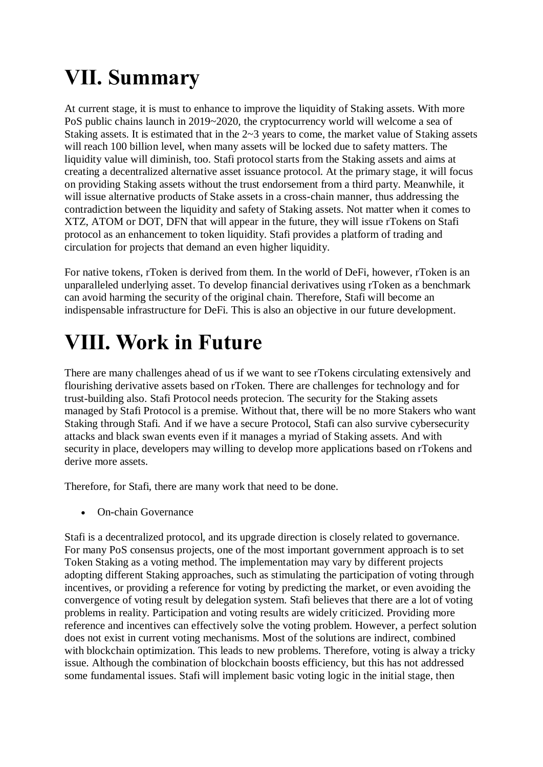# **Ⅶ. Summary**

At current stage, it is must to enhance to improve the liquidity of Staking assets. With more PoS public chains launch in 2019~2020, the cryptocurrency world will welcome a sea of Staking assets. It is estimated that in the 2~3 years to come, the market value of Staking assets will reach 100 billion level, when many assets will be locked due to safety matters. The liquidity value will diminish, too. Stafi protocol starts from the Staking assets and aims at creating a decentralized alternative asset issuance protocol. At the primary stage, it will focus on providing Staking assets without the trust endorsement from a third party. Meanwhile, it will issue alternative products of Stake assets in a cross-chain manner, thus addressing the contradiction between the liquidity and safety of Staking assets. Not matter when it comes to XTZ, ATOM or DOT, DFN that will appear in the future, they will issue rTokens on Stafi protocol as an enhancement to token liquidity. Stafi provides a platform of trading and circulation for projects that demand an even higher liquidity.

For native tokens, rToken is derived from them. In the world of DeFi, however, rToken is an unparalleled underlying asset. To develop financial derivatives using rToken as a benchmark can avoid harming the security of the original chain. Therefore, Stafi will become an indispensable infrastructure for DeFi. This is also an objective in our future development.

# **Ⅷ. Work in Future**

There are many challenges ahead of us if we want to see rTokens circulating extensively and flourishing derivative assets based on rToken. There are challenges for technology and for trust-building also. Stafi Protocol needs protecion. The security for the Staking assets managed by Stafi Protocol is a premise. Without that, there will be no more Stakers who want Staking through Stafi. And if we have a secure Protocol, Stafi can also survive cybersecurity attacks and black swan events even if it manages a myriad of Staking assets. And with security in place, developers may willing to develop more applications based on rTokens and derive more assets.

Therefore, for Stafi, there are many work that need to be done.

On-chain Governance

Stafi is a decentralized protocol, and its upgrade direction is closely related to governance. For many PoS consensus projects, one of the most important government approach is to set Token Staking as a voting method. The implementation may vary by different projects adopting different Staking approaches, such as stimulating the participation of voting through incentives, or providing a reference for voting by predicting the market, or even avoiding the convergence of voting result by delegation system. Stafi believes that there are a lot of voting problems in reality. Participation and voting results are widely criticized. Providing more reference and incentives can effectively solve the voting problem. However, a perfect solution does not exist in current voting mechanisms. Most of the solutions are indirect, combined with blockchain optimization. This leads to new problems. Therefore, voting is alway a tricky issue. Although the combination of blockchain boosts efficiency, but this has not addressed some fundamental issues. Stafi will implement basic voting logic in the initial stage, then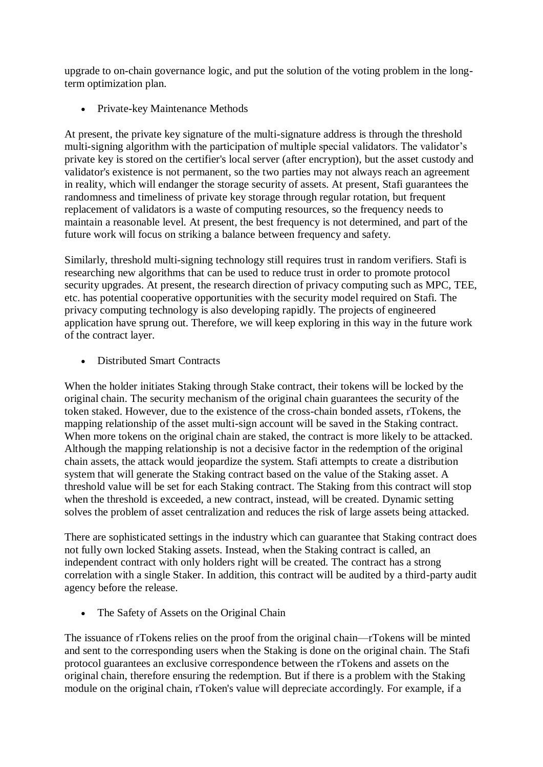upgrade to on-chain governance logic, and put the solution of the voting problem in the longterm optimization plan.

• Private-key Maintenance Methods

At present, the private key signature of the multi-signature address is through the threshold multi-signing algorithm with the participation of multiple special validators. The validator's private key is stored on the certifier's local server (after encryption), but the asset custody and validator's existence is not permanent, so the two parties may not always reach an agreement in reality, which will endanger the storage security of assets. At present, Stafi guarantees the randomness and timeliness of private key storage through regular rotation, but frequent replacement of validators is a waste of computing resources, so the frequency needs to maintain a reasonable level. At present, the best frequency is not determined, and part of the future work will focus on striking a balance between frequency and safety.

Similarly, threshold multi-signing technology still requires trust in random verifiers. Stafi is researching new algorithms that can be used to reduce trust in order to promote protocol security upgrades. At present, the research direction of privacy computing such as MPC, TEE, etc. has potential cooperative opportunities with the security model required on Stafi. The privacy computing technology is also developing rapidly. The projects of engineered application have sprung out. Therefore, we will keep exploring in this way in the future work of the contract layer.

• Distributed Smart Contracts

When the holder initiates Staking through Stake contract, their tokens will be locked by the original chain. The security mechanism of the original chain guarantees the security of the token staked. However, due to the existence of the cross-chain bonded assets, rTokens, the mapping relationship of the asset multi-sign account will be saved in the Staking contract. When more tokens on the original chain are staked, the contract is more likely to be attacked. Although the mapping relationship is not a decisive factor in the redemption of the original chain assets, the attack would jeopardize the system. Stafi attempts to create a distribution system that will generate the Staking contract based on the value of the Staking asset. A threshold value will be set for each Staking contract. The Staking from this contract will stop when the threshold is exceeded, a new contract, instead, will be created. Dynamic setting solves the problem of asset centralization and reduces the risk of large assets being attacked.

There are sophisticated settings in the industry which can guarantee that Staking contract does not fully own locked Staking assets. Instead, when the Staking contract is called, an independent contract with only holders right will be created. The contract has a strong correlation with a single Staker. In addition, this contract will be audited by a third-party audit agency before the release.

• The Safety of Assets on the Original Chain

The issuance of rTokens relies on the proof from the original chain—rTokens will be minted and sent to the corresponding users when the Staking is done on the original chain. The Stafi protocol guarantees an exclusive correspondence between the rTokens and assets on the original chain, therefore ensuring the redemption. But if there is a problem with the Staking module on the original chain, rToken's value will depreciate accordingly. For example, if a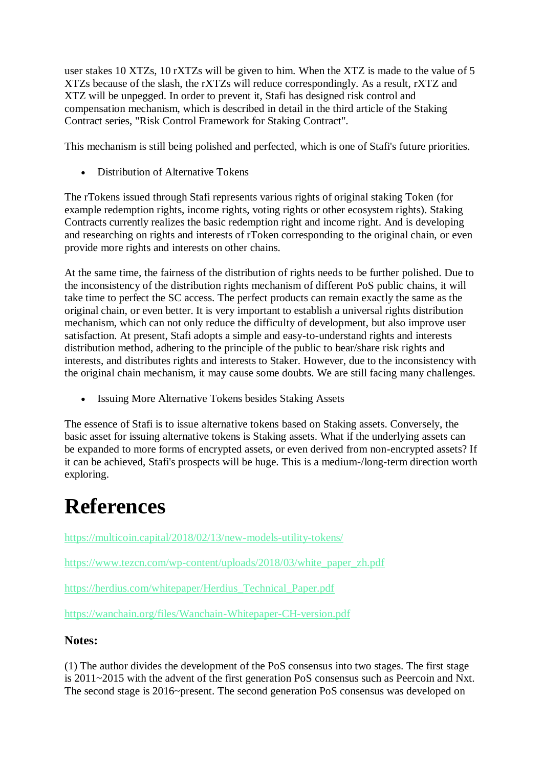user stakes 10 XTZs, 10 rXTZs will be given to him. When the XTZ is made to the value of 5 XTZs because of the slash, the rXTZs will reduce correspondingly. As a result, rXTZ and XTZ will be unpegged. In order to prevent it, Stafi has designed risk control and compensation mechanism, which is described in detail in the third article of the Staking Contract series, "Risk Control Framework for Staking Contract".

This mechanism is still being polished and perfected, which is one of Stafi's future priorities.

• Distribution of Alternative Tokens

The rTokens issued through Stafi represents various rights of original staking Token (for example redemption rights, income rights, voting rights or other ecosystem rights). Staking Contracts currently realizes the basic redemption right and income right. And is developing and researching on rights and interests of rToken corresponding to the original chain, or even provide more rights and interests on other chains.

At the same time, the fairness of the distribution of rights needs to be further polished. Due to the inconsistency of the distribution rights mechanism of different PoS public chains, it will take time to perfect the SC access. The perfect products can remain exactly the same as the original chain, or even better. It is very important to establish a universal rights distribution mechanism, which can not only reduce the difficulty of development, but also improve user satisfaction. At present, Stafi adopts a simple and easy-to-understand rights and interests distribution method, adhering to the principle of the public to bear/share risk rights and interests, and distributes rights and interests to Staker. However, due to the inconsistency with the original chain mechanism, it may cause some doubts. We are still facing many challenges.

• Issuing More Alternative Tokens besides Staking Assets

The essence of Stafi is to issue alternative tokens based on Staking assets. Conversely, the basic asset for issuing alternative tokens is Staking assets. What if the underlying assets can be expanded to more forms of encrypted assets, or even derived from non-encrypted assets? If it can be achieved, Stafi's prospects will be huge. This is a medium-/long-term direction worth exploring.

# **References**

<https://multicoin.capital/2018/02/13/new-models-utility-tokens/>

[https://www.tezcn.com/wp-content/uploads/2018/03/white\\_paper\\_zh.pdf](https://www.tezcn.com/wp-content/uploads/2018/03/white_paper_zh.pdf)

[https://herdius.com/whitepaper/Herdius\\_Technical\\_Paper.pdf](https://herdius.com/whitepaper/Herdius_Technical_Paper.pdf)

<https://wanchain.org/files/Wanchain-Whitepaper-CH-version.pdf>

#### **Notes:**

(1) The author divides the development of the PoS consensus into two stages. The first stage is 2011~2015 with the advent of the first generation PoS consensus such as Peercoin and Nxt. The second stage is 2016~present. The second generation PoS consensus was developed on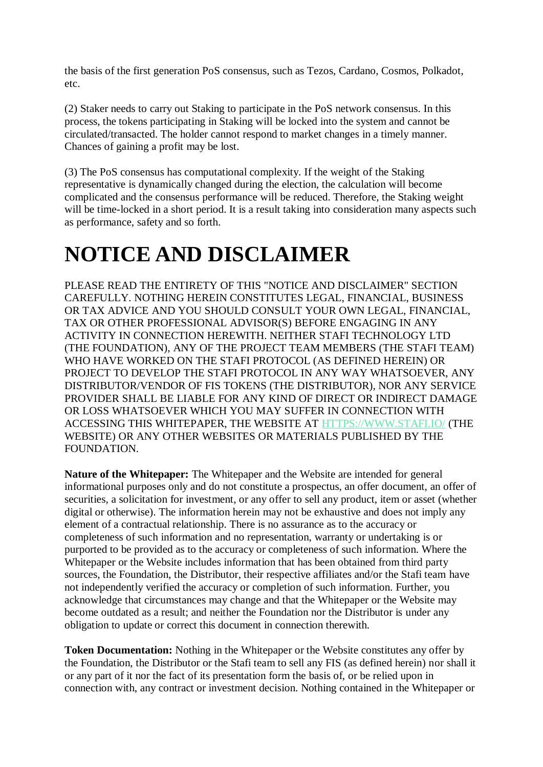the basis of the first generation PoS consensus, such as Tezos, Cardano, Cosmos, Polkadot, etc.

(2) Staker needs to carry out Staking to participate in the PoS network consensus. In this process, the tokens participating in Staking will be locked into the system and cannot be circulated/transacted. The holder cannot respond to market changes in a timely manner. Chances of gaining a profit may be lost.

(3) The PoS consensus has computational complexity. If the weight of the Staking representative is dynamically changed during the election, the calculation will become complicated and the consensus performance will be reduced. Therefore, the Staking weight will be time-locked in a short period. It is a result taking into consideration many aspects such as performance, safety and so forth.

# **NOTICE AND DISCLAIMER**

PLEASE READ THE ENTIRETY OF THIS "NOTICE AND DISCLAIMER" SECTION CAREFULLY. NOTHING HEREIN CONSTITUTES LEGAL, FINANCIAL, BUSINESS OR TAX ADVICE AND YOU SHOULD CONSULT YOUR OWN LEGAL, FINANCIAL, TAX OR OTHER PROFESSIONAL ADVISOR(S) BEFORE ENGAGING IN ANY ACTIVITY IN CONNECTION HEREWITH. NEITHER STAFI TECHNOLOGY LTD (THE FOUNDATION), ANY OF THE PROJECT TEAM MEMBERS (THE STAFI TEAM) WHO HAVE WORKED ON THE STAFI PROTOCOL (AS DEFINED HEREIN) OR PROJECT TO DEVELOP THE STAFI PROTOCOL IN ANY WAY WHATSOEVER, ANY DISTRIBUTOR/VENDOR OF FIS TOKENS (THE DISTRIBUTOR), NOR ANY SERVICE PROVIDER SHALL BE LIABLE FOR ANY KIND OF DIRECT OR INDIRECT DAMAGE OR LOSS WHATSOEVER WHICH YOU MAY SUFFER IN CONNECTION WITH ACCESSING THIS WHITEPAPER, THE WEBSITE AT [HTTPS://WWW.STAFI.IO/](https://www.stafi.io/) (THE WEBSITE) OR ANY OTHER WEBSITES OR MATERIALS PUBLISHED BY THE FOUNDATION.

**Nature of the Whitepaper:** The Whitepaper and the Website are intended for general informational purposes only and do not constitute a prospectus, an offer document, an offer of securities, a solicitation for investment, or any offer to sell any product, item or asset (whether digital or otherwise). The information herein may not be exhaustive and does not imply any element of a contractual relationship. There is no assurance as to the accuracy or completeness of such information and no representation, warranty or undertaking is or purported to be provided as to the accuracy or completeness of such information. Where the Whitepaper or the Website includes information that has been obtained from third party sources, the Foundation, the Distributor, their respective affiliates and/or the Stafi team have not independently verified the accuracy or completion of such information. Further, you acknowledge that circumstances may change and that the Whitepaper or the Website may become outdated as a result; and neither the Foundation nor the Distributor is under any obligation to update or correct this document in connection therewith.

**Token Documentation:** Nothing in the Whitepaper or the Website constitutes any offer by the Foundation, the Distributor or the Stafi team to sell any FIS (as defined herein) nor shall it or any part of it nor the fact of its presentation form the basis of, or be relied upon in connection with, any contract or investment decision. Nothing contained in the Whitepaper or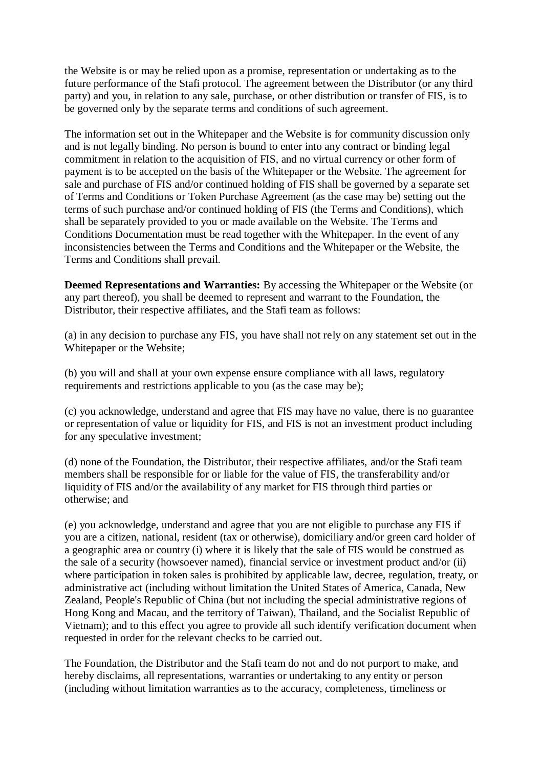the Website is or may be relied upon as a promise, representation or undertaking as to the future performance of the Stafi protocol. The agreement between the Distributor (or any third party) and you, in relation to any sale, purchase, or other distribution or transfer of FIS, is to be governed only by the separate terms and conditions of such agreement.

The information set out in the Whitepaper and the Website is for community discussion only and is not legally binding. No person is bound to enter into any contract or binding legal commitment in relation to the acquisition of FIS, and no virtual currency or other form of payment is to be accepted on the basis of the Whitepaper or the Website. The agreement for sale and purchase of FIS and/or continued holding of FIS shall be governed by a separate set of Terms and Conditions or Token Purchase Agreement (as the case may be) setting out the terms of such purchase and/or continued holding of FIS (the Terms and Conditions), which shall be separately provided to you or made available on the Website. The Terms and Conditions Documentation must be read together with the Whitepaper. In the event of any inconsistencies between the Terms and Conditions and the Whitepaper or the Website, the Terms and Conditions shall prevail.

**Deemed Representations and Warranties:** By accessing the Whitepaper or the Website (or any part thereof), you shall be deemed to represent and warrant to the Foundation, the Distributor, their respective affiliates, and the Stafi team as follows:

(a) in any decision to purchase any FIS, you have shall not rely on any statement set out in the Whitepaper or the Website;

(b) you will and shall at your own expense ensure compliance with all laws, regulatory requirements and restrictions applicable to you (as the case may be);

(c) you acknowledge, understand and agree that FIS may have no value, there is no guarantee or representation of value or liquidity for FIS, and FIS is not an investment product including for any speculative investment;

(d) none of the Foundation, the Distributor, their respective affiliates, and/or the Stafi team members shall be responsible for or liable for the value of FIS, the transferability and/or liquidity of FIS and/or the availability of any market for FIS through third parties or otherwise; and

(e) you acknowledge, understand and agree that you are not eligible to purchase any FIS if you are a citizen, national, resident (tax or otherwise), domiciliary and/or green card holder of a geographic area or country (i) where it is likely that the sale of FIS would be construed as the sale of a security (howsoever named), financial service or investment product and/or (ii) where participation in token sales is prohibited by applicable law, decree, regulation, treaty, or administrative act (including without limitation the United States of America, Canada, New Zealand, People's Republic of China (but not including the special administrative regions of Hong Kong and Macau, and the territory of Taiwan), Thailand, and the Socialist Republic of Vietnam); and to this effect you agree to provide all such identify verification document when requested in order for the relevant checks to be carried out.

The Foundation, the Distributor and the Stafi team do not and do not purport to make, and hereby disclaims, all representations, warranties or undertaking to any entity or person (including without limitation warranties as to the accuracy, completeness, timeliness or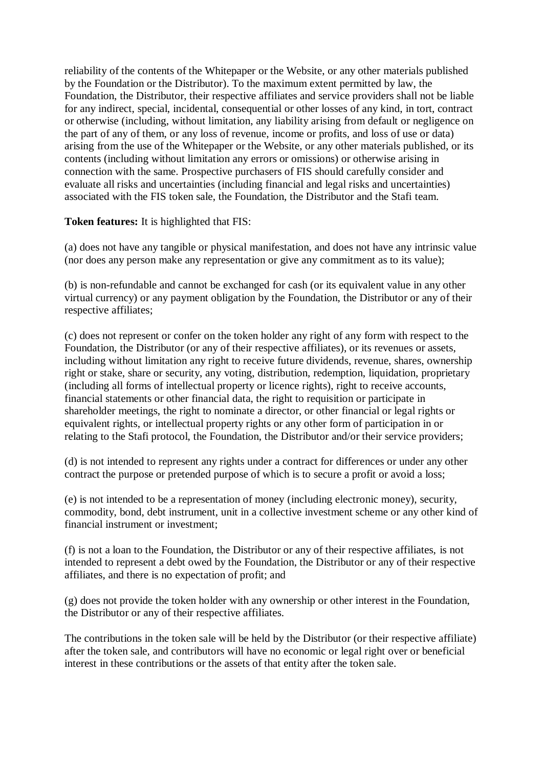reliability of the contents of the Whitepaper or the Website, or any other materials published by the Foundation or the Distributor). To the maximum extent permitted by law, the Foundation, the Distributor, their respective affiliates and service providers shall not be liable for any indirect, special, incidental, consequential or other losses of any kind, in tort, contract or otherwise (including, without limitation, any liability arising from default or negligence on the part of any of them, or any loss of revenue, income or profits, and loss of use or data) arising from the use of the Whitepaper or the Website, or any other materials published, or its contents (including without limitation any errors or omissions) or otherwise arising in connection with the same. Prospective purchasers of FIS should carefully consider and evaluate all risks and uncertainties (including financial and legal risks and uncertainties) associated with the FIS token sale, the Foundation, the Distributor and the Stafi team.

#### **Token features:** It is highlighted that FIS:

(a) does not have any tangible or physical manifestation, and does not have any intrinsic value (nor does any person make any representation or give any commitment as to its value);

(b) is non-refundable and cannot be exchanged for cash (or its equivalent value in any other virtual currency) or any payment obligation by the Foundation, the Distributor or any of their respective affiliates;

(c) does not represent or confer on the token holder any right of any form with respect to the Foundation, the Distributor (or any of their respective affiliates), or its revenues or assets, including without limitation any right to receive future dividends, revenue, shares, ownership right or stake, share or security, any voting, distribution, redemption, liquidation, proprietary (including all forms of intellectual property or licence rights), right to receive accounts, financial statements or other financial data, the right to requisition or participate in shareholder meetings, the right to nominate a director, or other financial or legal rights or equivalent rights, or intellectual property rights or any other form of participation in or relating to the Stafi protocol, the Foundation, the Distributor and/or their service providers;

(d) is not intended to represent any rights under a contract for differences or under any other contract the purpose or pretended purpose of which is to secure a profit or avoid a loss;

(e) is not intended to be a representation of money (including electronic money), security, commodity, bond, debt instrument, unit in a collective investment scheme or any other kind of financial instrument or investment;

(f) is not a loan to the Foundation, the Distributor or any of their respective affiliates, is not intended to represent a debt owed by the Foundation, the Distributor or any of their respective affiliates, and there is no expectation of profit; and

(g) does not provide the token holder with any ownership or other interest in the Foundation, the Distributor or any of their respective affiliates.

The contributions in the token sale will be held by the Distributor (or their respective affiliate) after the token sale, and contributors will have no economic or legal right over or beneficial interest in these contributions or the assets of that entity after the token sale.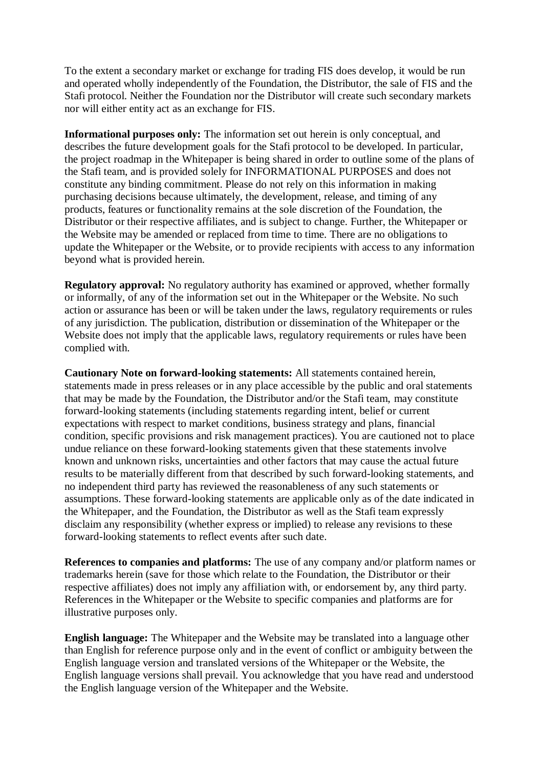To the extent a secondary market or exchange for trading FIS does develop, it would be run and operated wholly independently of the Foundation, the Distributor, the sale of FIS and the Stafi protocol. Neither the Foundation nor the Distributor will create such secondary markets nor will either entity act as an exchange for FIS.

**Informational purposes only:** The information set out herein is only conceptual, and describes the future development goals for the Stafi protocol to be developed. In particular, the project roadmap in the Whitepaper is being shared in order to outline some of the plans of the Stafi team, and is provided solely for INFORMATIONAL PURPOSES and does not constitute any binding commitment. Please do not rely on this information in making purchasing decisions because ultimately, the development, release, and timing of any products, features or functionality remains at the sole discretion of the Foundation, the Distributor or their respective affiliates, and is subject to change. Further, the Whitepaper or the Website may be amended or replaced from time to time. There are no obligations to update the Whitepaper or the Website, or to provide recipients with access to any information beyond what is provided herein.

**Regulatory approval:** No regulatory authority has examined or approved, whether formally or informally, of any of the information set out in the Whitepaper or the Website. No such action or assurance has been or will be taken under the laws, regulatory requirements or rules of any jurisdiction. The publication, distribution or dissemination of the Whitepaper or the Website does not imply that the applicable laws, regulatory requirements or rules have been complied with.

**Cautionary Note on forward-looking statements:** All statements contained herein, statements made in press releases or in any place accessible by the public and oral statements that may be made by the Foundation, the Distributor and/or the Stafi team, may constitute forward-looking statements (including statements regarding intent, belief or current expectations with respect to market conditions, business strategy and plans, financial condition, specific provisions and risk management practices). You are cautioned not to place undue reliance on these forward-looking statements given that these statements involve known and unknown risks, uncertainties and other factors that may cause the actual future results to be materially different from that described by such forward-looking statements, and no independent third party has reviewed the reasonableness of any such statements or assumptions. These forward-looking statements are applicable only as of the date indicated in the Whitepaper, and the Foundation, the Distributor as well as the Stafi team expressly disclaim any responsibility (whether express or implied) to release any revisions to these forward-looking statements to reflect events after such date.

**References to companies and platforms:** The use of any company and/or platform names or trademarks herein (save for those which relate to the Foundation, the Distributor or their respective affiliates) does not imply any affiliation with, or endorsement by, any third party. References in the Whitepaper or the Website to specific companies and platforms are for illustrative purposes only.

**English language:** The Whitepaper and the Website may be translated into a language other than English for reference purpose only and in the event of conflict or ambiguity between the English language version and translated versions of the Whitepaper or the Website, the English language versions shall prevail. You acknowledge that you have read and understood the English language version of the Whitepaper and the Website.